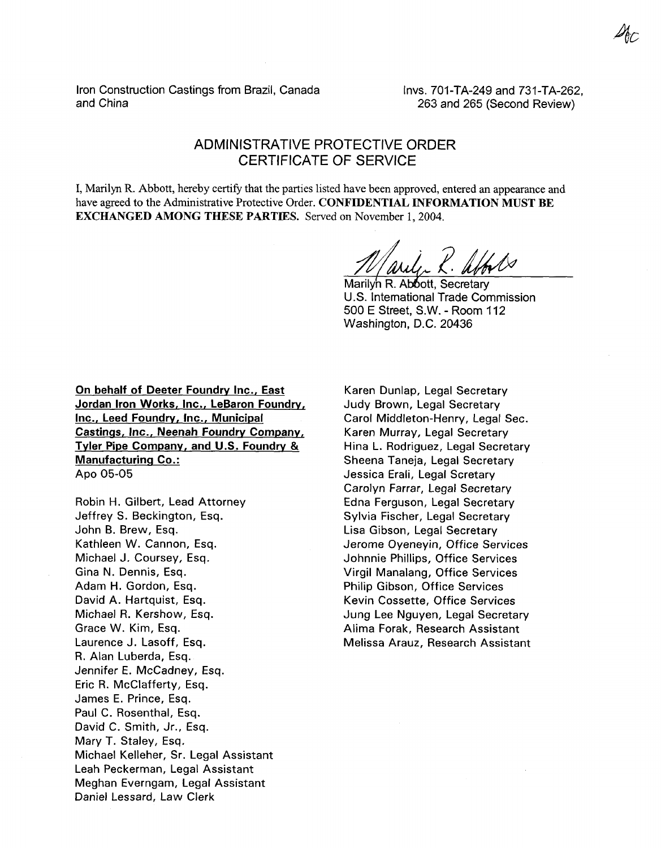Iron Construction Castings from Brazil, Canada and China

Invs. 701-TA-249 and 731-TA-262, 263 and 265 (Second Review)

## ADMINISTRATIVE PROTECTIVE ORDER CERTIFICATE OF SERVICE

I, Marilyn R. Abbott, hereby certify that the parties listed have been approved, entered an appearance and have agreed to the Administrative Protective Order. **CONFIDENTIAL INFORMATION MUST BE EXCHANGED AMONG THESE PARTIES.** Served on November 1,2004.

November 1, 2004.<br> *dd, 2 Media 1*<br> *dd, 2 Media 1*<br> *dd, 2 Media 1, Secretary* 

Marilyn R. Abbott, Secretary U.S. international Trade Commission 500 E Street, S.W. - Room 112 Washington, D.C. 20436

**On behalf of Deeter Foundry Inc., East Jordan Iron Works, Inc., LeBaron Foundry, Inc., Leed Foundrv, Inc., Municipal**  Castings, Inc., Neenah Foundry Company, **Tyler Pipe Company, and U.S. Foundrv** *<sup>81</sup>* **Manufacturinq Co.:**  APO **05-05** 

Robin H. Gilbert, Lead Attorney Jeffrey S. Beckington, Esq. John B. Brew, Esq. Kathleen W. Cannon, Esq. Michael J. Coursey, Esq. Gina N. Dennis, Esq. Adam H. Gordon, Esq. David A. Hartquist, Esq. Michael R. Kershow, Esq. Grace W. Kim, Esq. Laurence J. Lasoff, Esq. R. Alan Luberda, Esq. Jennifer E. McCadney, Esq. Eric R. McClafferty, Esq. James E. Prince, Esq. Paul C. Rosenthal, Esq. David C. Smith, Jr., Esq. Mary T. Staley, Esq. Michael Kelleher, Sr. Legal Assistant Leah Peckerman, Legal Assistant Meghan Everngam, Legal Assistant Daniel Lessard, Law Clerk

Karen Dunlap, Legal Secretary Judy Brown, Legal Secretary Carol Middleton-Henry, Legal Sec. Karen Murray, Legal Secretary Hina L. Rodriguez, Legal Secretary Sheena Taneja, Legal Secretary Jessica Erali, Legal Scretary Carolyn Farrar, Legal Secretary Edna Ferguson, Legal Secretary Sylvia Fischer, Legal Secretary Lisa Gibson, Legal Secretary Jerome Oyeneyin, Office Services Johnnie Phillips, Office Services Virgil Manalang, Office Services Philip Gibson, Office Services Kevin Cossette, Office Services Jung Lee Nguyen, Legal Secretary Alima Forak, Research Assistant Melissa Arauz, Research Assistant